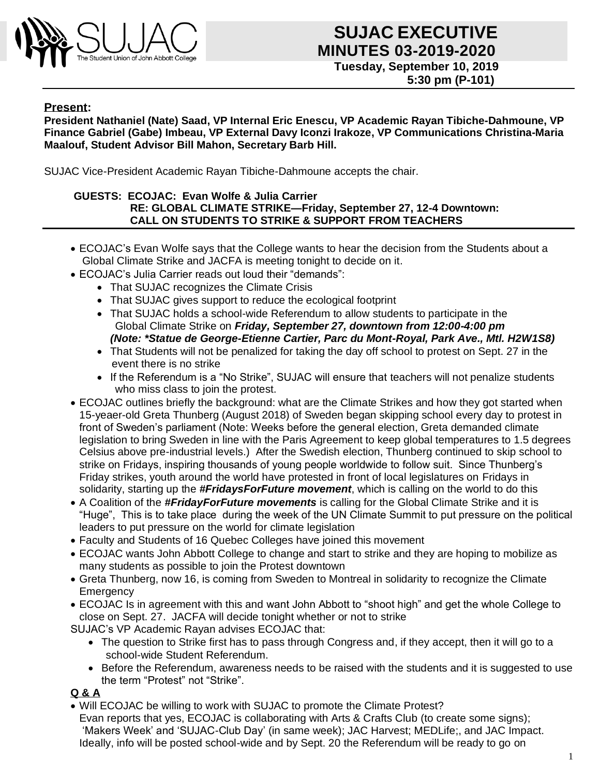

# **CONGRESS 03-2019-2020 Tuesday, September 10, 2019 SUJAC EXECUTIVE**

 **5:30 pm (P-101)**

#### **Present:**

**President Nathaniel (Nate) Saad, VP Internal Eric Enescu, VP Academic Rayan Tibiche-Dahmoune, VP Finance Gabriel (Gabe) Imbeau, VP External Davy Iconzi Irakoze, VP Communications Christina-Maria Maalouf, Student Advisor Bill Mahon, Secretary Barb Hill.**

SUJAC Vice-President Academic Rayan Tibiche-Dahmoune accepts the chair.

#### **GUESTS: ECOJAC: Evan Wolfe & Julia Carrier RE: GLOBAL CLIMATE STRIKE—Friday, September 27, 12-4 Downtown: CALL ON STUDENTS TO STRIKE & SUPPORT FROM TEACHERS**

- ECOJAC's Evan Wolfe says that the College wants to hear the decision from the Students about a Global Climate Strike and JACFA is meeting tonight to decide on it.
- ECOJAC's Julia Carrier reads out loud their "demands":
	- That SUJAC recognizes the Climate Crisis
	- That SUJAC gives support to reduce the ecological footprint
	- That SUJAC holds a school-wide Referendum to allow students to participate in the Global Climate Strike on *Friday, September 27, downtown from 12:00-4:00 pm (Note: \*Statue de George-Etienne Cartier, Parc du Mont-Royal, Park Ave., Mtl. H2W1S8)*
	- That Students will not be penalized for taking the day off school to protest on Sept. 27 in the event there is no strike
	- If the Referendum is a "No Strike", SUJAC will ensure that teachers will not penalize students who miss class to join the protest.
- ECOJAC outlines briefly the background: what are the Climate Strikes and how they got started when 15-yeaer-old Greta Thunberg (August 2018) of Sweden began skipping school every day to protest in front of Sweden's parliament (Note: Weeks before the general election, Greta demanded climate legislation to bring Sweden in line with the Paris Agreement to keep global temperatures to 1.5 degrees Celsius above pre-industrial levels.) After the Swedish election, Thunberg continued to skip school to strike on Fridays, inspiring thousands of young people worldwide to follow suit. Since Thunberg's Friday strikes, youth around the world have protested in front of local legislatures on Fridays in solidarity, starting up the *#FridaysForFuture movement*, which is calling on the world to do this
- A Coalition of the *#FridayForFuture movements* is calling for the Global Climate Strike and it is "Huge", This is to take place during the week of the UN Climate Summit to put pressure on the political leaders to put pressure on the world for climate legislation
- Faculty and Students of 16 Quebec Colleges have joined this movement
- ECOJAC wants John Abbott College to change and start to strike and they are hoping to mobilize as many students as possible to join the Protest downtown
- Greta Thunberg, now 16, is coming from Sweden to Montreal in solidarity to recognize the Climate **Emergency**
- ECOJAC Is in agreement with this and want John Abbott to "shoot high" and get the whole College to close on Sept. 27. JACFA will decide tonight whether or not to strike

SUJAC's VP Academic Rayan advises ECOJAC that:

- The question to Strike first has to pass through Congress and, if they accept, then it will go to a school-wide Student Referendum.
- Before the Referendum, awareness needs to be raised with the students and it is suggested to use the term "Protest" not "Strike".

#### **Q & A**

• Will ECOJAC be willing to work with SUJAC to promote the Climate Protest? Evan reports that yes, ECOJAC is collaborating with Arts & Crafts Club (to create some signs); 'Makers Week' and 'SUJAC-Club Day' (in same week); JAC Harvest; MEDLife;, and JAC Impact. Ideally, info will be posted school-wide and by Sept. 20 the Referendum will be ready to go on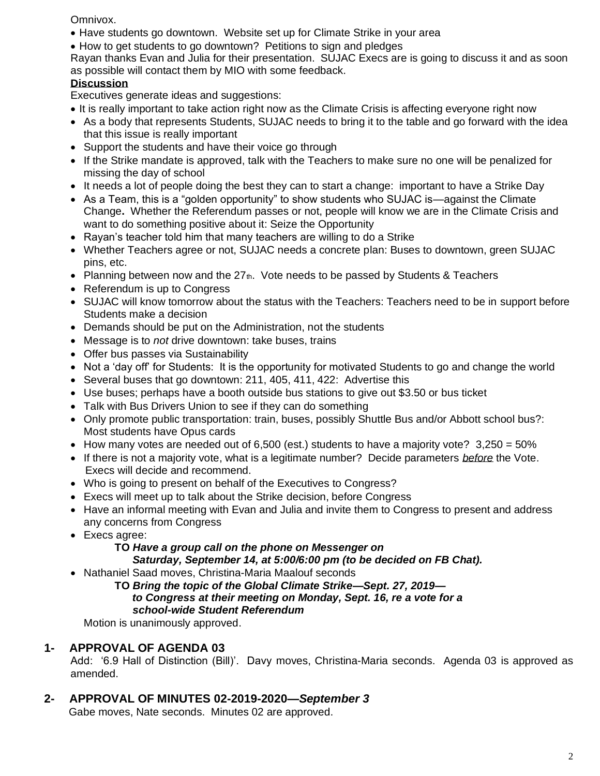Omnivox.

- Have students go downtown. Website set up for Climate Strike in your area
- How to get students to go downtown? Petitions to sign and pledges

Rayan thanks Evan and Julia for their presentation. SUJAC Execs are is going to discuss it and as soon as possible will contact them by MIO with some feedback.

# **Discussion**

Executives generate ideas and suggestions:

- It is really important to take action right now as the Climate Crisis is affecting everyone right now
- As a body that represents Students, SUJAC needs to bring it to the table and go forward with the idea that this issue is really important
- Support the students and have their voice go through
- If the Strike mandate is approved, talk with the Teachers to make sure no one will be penalized for missing the day of school
- It needs a lot of people doing the best they can to start a change: important to have a Strike Day
- As a Team, this is a "golden opportunity" to show students who SUJAC is—against the Climate Change**.** Whether the Referendum passes or not, people will know we are in the Climate Crisis and want to do something positive about it: Seize the Opportunity
- Rayan's teacher told him that many teachers are willing to do a Strike
- Whether Teachers agree or not, SUJAC needs a concrete plan: Buses to downtown, green SUJAC pins, etc.
- Planning between now and the  $27<sub>th</sub>$ . Vote needs to be passed by Students & Teachers
- Referendum is up to Congress
- SUJAC will know tomorrow about the status with the Teachers: Teachers need to be in support before Students make a decision
- Demands should be put on the Administration, not the students
- Message is to *not* drive downtown: take buses, trains
- Offer bus passes via Sustainability
- Not a 'day off' for Students: It is the opportunity for motivated Students to go and change the world
- Several buses that go downtown: 211, 405, 411, 422: Advertise this
- Use buses; perhaps have a booth outside bus stations to give out \$3.50 or bus ticket
- Talk with Bus Drivers Union to see if they can do something
- Only promote public transportation: train, buses, possibly Shuttle Bus and/or Abbott school bus?: Most students have Opus cards
- How many votes are needed out of 6,500 (est.) students to have a majority vote?  $3,250 = 50\%$
- If there is not a majority vote, what is a legitimate number? Decide parameters *before* the Vote. Execs will decide and recommend.
- Who is going to present on behalf of the Executives to Congress?
- Execs will meet up to talk about the Strike decision, before Congress
- Have an informal meeting with Evan and Julia and invite them to Congress to present and address any concerns from Congress
- Execs agree:

# **TO** *Have a group call on the phone on Messenger on Saturday, September 14, at 5:00/6:00 pm (to be decided on FB Chat).*

• Nathaniel Saad moves, Christina-Maria Maalouf seconds

**TO** *Bring the topic of the Global Climate Strike—Sept. 27, 2019 to Congress at their meeting on Monday, Sept. 16, re a vote for a school-wide Student Referendum*

Motion is unanimously approved.

# **1- APPROVAL OF AGENDA 03**

Add: '6.9 Hall of Distinction (Bill)'. Davy moves, Christina-Maria seconds. Agenda 03 is approved as amended.

**2- APPROVAL OF MINUTES 02-2019-2020—***September 3*

Gabe moves, Nate seconds. Minutes 02 are approved.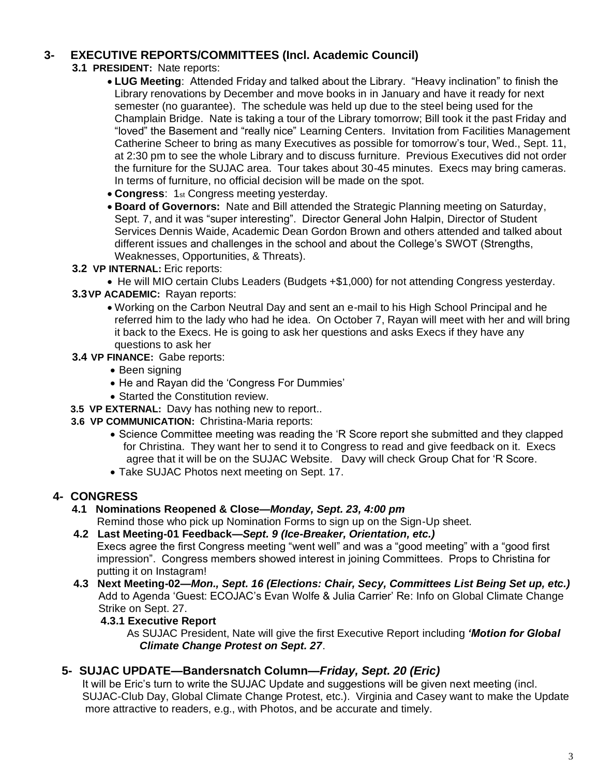# **3- EXECUTIVE REPORTS/COMMITTEES (Incl. Academic Council)**

- **3.1 PRESIDENT:** Nate reports:
	- **LUG Meeting**: Attended Friday and talked about the Library. "Heavy inclination" to finish the Library renovations by December and move books in in January and have it ready for next semester (no guarantee). The schedule was held up due to the steel being used for the Champlain Bridge. Nate is taking a tour of the Library tomorrow; Bill took it the past Friday and "loved" the Basement and "really nice" Learning Centers. Invitation from Facilities Management Catherine Scheer to bring as many Executives as possible for tomorrow's tour, Wed., Sept. 11, at 2:30 pm to see the whole Library and to discuss furniture. Previous Executives did not order the furniture for the SUJAC area. Tour takes about 30-45 minutes. Execs may bring cameras. In terms of furniture, no official decision will be made on the spot.
	- **Congress**: 1st Congress meeting yesterday.
	- **Board of Governors:** Nate and Bill attended the Strategic Planning meeting on Saturday, Sept. 7, and it was "super interesting". Director General John Halpin, Director of Student Services Dennis Waide, Academic Dean Gordon Brown and others attended and talked about different issues and challenges in the school and about the College's SWOT (Strengths, Weaknesses, Opportunities, & Threats).
- **3.2 VP INTERNAL:** Eric reports:
	- He will MIO certain Clubs Leaders (Budgets +\$1,000) for not attending Congress yesterday.
- **3.3VP ACADEMIC:** Rayan reports:
	- Working on the Carbon Neutral Day and sent an e-mail to his High School Principal and he referred him to the lady who had he idea. On October 7, Rayan will meet with her and will bring it back to the Execs. He is going to ask her questions and asks Execs if they have any questions to ask her
- **3.4 VP FINANCE:** Gabe reports:
	- Been signing
	- He and Rayan did the 'Congress For Dummies'
	- Started the Constitution review.
- **3.5 VP EXTERNAL:** Davy has nothing new to report..
- **3.6 VP COMMUNICATION:** Christina-Maria reports:
	- Science Committee meeting was reading the 'R Score report she submitted and they clapped for Christina. They want her to send it to Congress to read and give feedback on it. Execs agree that it will be on the SUJAC Website. Davy will check Group Chat for 'R Score.
	- Take SUJAC Photos next meeting on Sept. 17.

# **4- CONGRESS**

**4.1 Nominations Reopened & Close—***Monday, Sept. 23, 4:00 pm*

Remind those who pick up Nomination Forms to sign up on the Sign-Up sheet.

- **4.2 Last Meeting-01 Feedback—***Sept. 9 (Ice-Breaker, Orientation, etc.)* Execs agree the first Congress meeting "went well" and was a "good meeting" with a "good first impression". Congress members showed interest in joining Committees. Props to Christina for putting it on Instagram!
- **4.3 Next Meeting-02—***Mon., Sept. 16 (Elections: Chair, Secy, Committees List Being Set up, etc.)*  Add to Agenda 'Guest: ECOJAC's Evan Wolfe & Julia Carrier' Re: Info on Global Climate Change Strike on Sept. 27.

# **4.3.1 Executive Report**

As SUJAC President, Nate will give the first Executive Report including *'Motion for Global Climate Change Protest on Sept. 27*.

# **5- SUJAC UPDATE—Bandersnatch Column—***Friday, Sept. 20 (Eric)*

It will be Eric's turn to write the SUJAC Update and suggestions will be given next meeting (incl. SUJAC-Club Day, Global Climate Change Protest, etc.). Virginia and Casey want to make the Update more attractive to readers, e.g., with Photos, and be accurate and timely.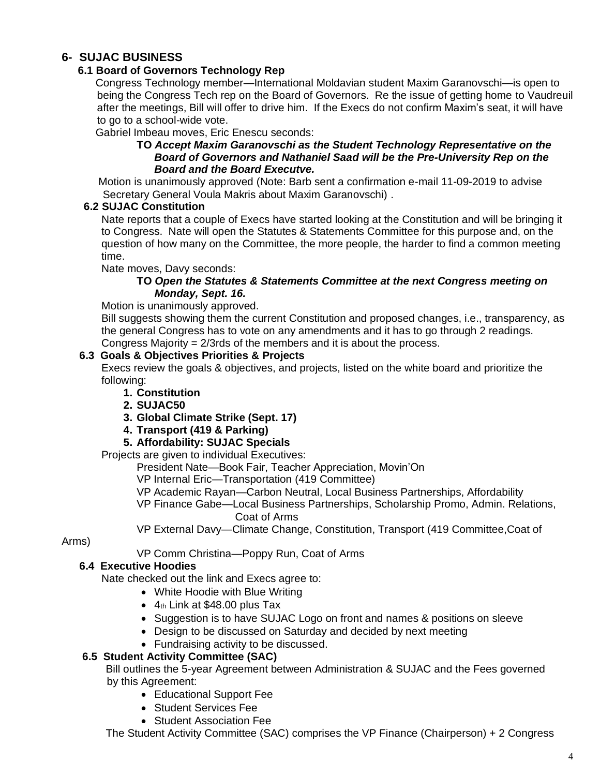# **6- SUJAC BUSINESS**

### **6.1 Board of Governors Technology Rep**

Congress Technology member—International Moldavian student Maxim Garanovschi—is open to being the Congress Tech rep on the Board of Governors. Re the issue of getting home to Vaudreuil after the meetings, Bill will offer to drive him. If the Execs do not confirm Maxim's seat, it will have to go to a school-wide vote.

Gabriel Imbeau moves, Eric Enescu seconds:

#### **TO** *Accept Maxim Garanovschi as the Student Technology Representative on the Board of Governors and Nathaniel Saad will be the Pre-University Rep on the Board and the Board Executve.*

Motion is unanimously approved (Note: Barb sent a confirmation e-mail 11-09-2019 to advise Secretary General Voula Makris about Maxim Garanovschi) .

#### **6.2 SUJAC Constitution**

Nate reports that a couple of Execs have started looking at the Constitution and will be bringing it to Congress. Nate will open the Statutes & Statements Committee for this purpose and, on the question of how many on the Committee, the more people, the harder to find a common meeting time.

Nate moves, Davy seconds:

#### **TO** *Open the Statutes & Statements Committee at the next Congress meeting on Monday, Sept. 16.*

Motion is unanimously approved.

Bill suggests showing them the current Constitution and proposed changes, i.e., transparency, as the general Congress has to vote on any amendments and it has to go through 2 readings. Congress Majority =  $2/3$ rds of the members and it is about the process.

#### **6.3 Goals & Objectives Priorities & Projects**

Execs review the goals & objectives, and projects, listed on the white board and prioritize the following:

- **1. Constitution**
- **2. SUJAC50**
- **3. Global Climate Strike (Sept. 17)**
- **4. Transport (419 & Parking)**
- **5. Affordability: SUJAC Specials**

Projects are given to individual Executives:

President Nate—Book Fair, Teacher Appreciation, Movin'On

VP Internal Eric—Transportation (419 Committee)

VP Academic Rayan—Carbon Neutral, Local Business Partnerships, Affordability

VP Finance Gabe—Local Business Partnerships, Scholarship Promo, Admin. Relations, Coat of Arms

VP External Davy—Climate Change, Constitution, Transport (419 Committee,Coat of

#### Arms)

VP Comm Christina—Poppy Run, Coat of Arms

#### **6.4 Executive Hoodies**

Nate checked out the link and Execs agree to:

- White Hoodie with Blue Writing
- 4th Link at \$48.00 plus Tax
- Suggestion is to have SUJAC Logo on front and names & positions on sleeve
- Design to be discussed on Saturday and decided by next meeting
- Fundraising activity to be discussed.

#### **6.5 Student Activity Committee (SAC)**

Bill outlines the 5-year Agreement between Administration & SUJAC and the Fees governed by this Agreement:

- Educational Support Fee
- Student Services Fee
- Student Association Fee

The Student Activity Committee (SAC) comprises the VP Finance (Chairperson) + 2 Congress